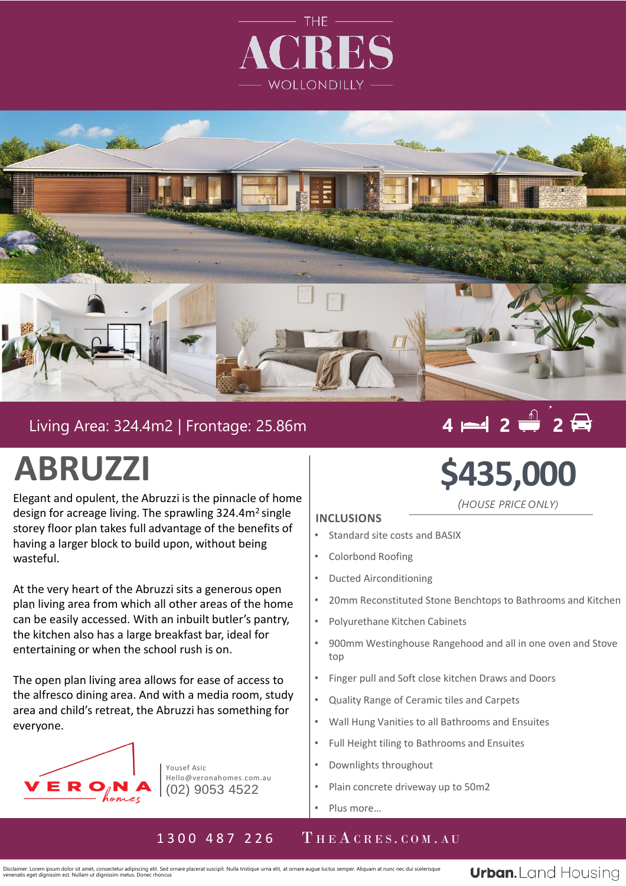



## Living Area: 324.4m2 | Frontage: 25.86m

# **4 2 2**

## **ABRUZZI**

Elegant and opulent, the Abruzzi is the pinnacle of home design for acreage living. The sprawling 324.4m<sup>2</sup> single storey floor plan takes full advantage of the benefits of having a larger block to build upon, without being wasteful.

. plan living area from which all other areas of the home At the very heart of the Abruzzi sits a generous open can be easily accessed. With an inbuilt butler's pantry, the kitchen also has a large breakfast bar, ideal for entertaining or when the school rush is on.

The open plan living area allows for ease of access to the alfresco dining area. And with a media room, study area and child's retreat, the Abruzzi has something for everyone.



Yousef Asic Hello@veronahomes.com.au (02) 9053 4522

# **\$435,000**

*(HOUSE PRICE ONLY)*

#### **INCLUSIONS**

- Standard site costs and BASIX
- Colorbond Roofing
- Ducted Airconditioning
- 20mm Reconstituted Stone Benchtops to Bathrooms and Kitchen
- Polyurethane Kitchen Cabinets
- 900mm Westinghouse Rangehood and all in one oven and Stove top
- Finger pull and Soft close kitchen Draws and Doors
- Quality Range of Ceramic tiles and Carpets
- Wall Hung Vanities to all Bathrooms and Ensuites
- Full Height tiling to Bathrooms and Ensuites
- Downlights throughout
- Plain concrete driveway up to 50m2
- Plus more…

### 1300 487 226 THEACRES.COM.AU

Disclaimer: Lorem ipsum dolor sit amet, consectetur adipiscing elit. Sed ornare placerat suscipit. Nulla tristique urna elit, at ornare augue luctus semper. Aliquam at nunc nec dui scelerisque venenatis eget dignissim est. Nullam ut dignissim metus. Donec rhoncus